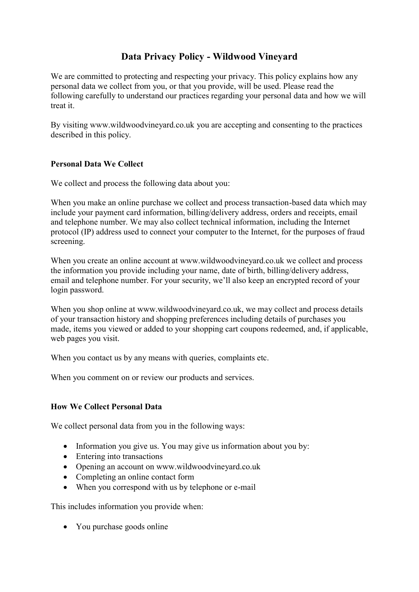# **Data Privacy Policy - Wildwood Vineyard**

We are committed to protecting and respecting your privacy. This policy explains how any personal data we collect from you, or that you provide, will be used. Please read the following carefully to understand our practices regarding your personal data and how we will treat it.

By visiting www.wildwoodvineyard.co.uk you are accepting and consenting to the practices described in this policy.

## **Personal Data We Collect**

We collect and process the following data about you:

When you make an online purchase we collect and process transaction-based data which may include your payment card information, billing/delivery address, orders and receipts, email and telephone number. We may also collect technical information, including the Internet protocol (IP) address used to connect your computer to the Internet, for the purposes of fraud screening.

When you create an online account at www.wildwoodvineyard.co.uk we collect and process the information you provide including your name, date of birth, billing/delivery address, email and telephone number. For your security, we'll also keep an encrypted record of your login password.

When you shop online at www.wildwoodvineyard.co.uk, we may collect and process details of your transaction history and shopping preferences including details of purchases you made, items you viewed or added to your shopping cart coupons redeemed, and, if applicable, web pages you visit.

When you contact us by any means with queries, complaints etc.

When you comment on or review our products and services.

#### **How We Collect Personal Data**

We collect personal data from you in the following ways:

- Information you give us. You may give us information about you by:
- Entering into transactions
- Opening an account on www.wildwoodvineyard.co.uk
- Completing an online contact form
- When you correspond with us by telephone or e-mail

This includes information you provide when:

• You purchase goods online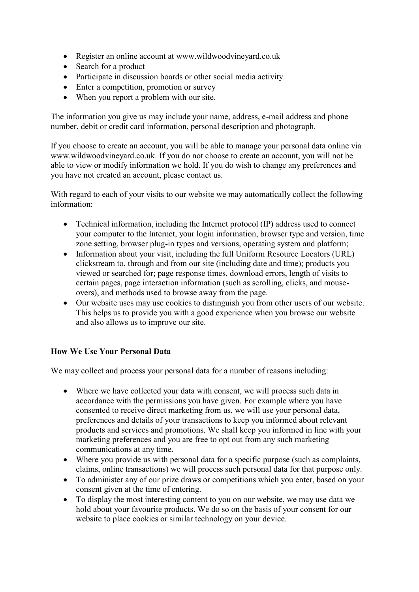- Register an online account at www.wildwoodvineyard.co.uk
- Search for a product
- Participate in discussion boards or other social media activity
- Enter a competition, promotion or survey
- When you report a problem with our site.

The information you give us may include your name, address, e-mail address and phone number, debit or credit card information, personal description and photograph.

If you choose to create an account, you will be able to manage your personal data online via www.wildwoodvineyard.co.uk. If you do not choose to create an account, you will not be able to view or modify information we hold. If you do wish to change any preferences and you have not created an account, please contact us.

With regard to each of your visits to our website we may automatically collect the following information:

- Technical information, including the Internet protocol (IP) address used to connect your computer to the Internet, your login information, browser type and version, time zone setting, browser plug-in types and versions, operating system and platform;
- Information about your visit, including the full Uniform Resource Locators (URL) clickstream to, through and from our site (including date and time); products you viewed or searched for; page response times, download errors, length of visits to certain pages, page interaction information (such as scrolling, clicks, and mouseovers), and methods used to browse away from the page.
- Our website uses may use cookies to distinguish you from other users of our website. This helps us to provide you with a good experience when you browse our website and also allows us to improve our site.

# **How We Use Your Personal Data**

We may collect and process your personal data for a number of reasons including:

- Where we have collected your data with consent, we will process such data in accordance with the permissions you have given. For example where you have consented to receive direct marketing from us, we will use your personal data, preferences and details of your transactions to keep you informed about relevant products and services and promotions. We shall keep you informed in line with your marketing preferences and you are free to opt out from any such marketing communications at any time.
- Where you provide us with personal data for a specific purpose (such as complaints, claims, online transactions) we will process such personal data for that purpose only.
- To administer any of our prize draws or competitions which you enter, based on your consent given at the time of entering.
- To display the most interesting content to you on our website, we may use data we hold about your favourite products. We do so on the basis of your consent for our website to place cookies or similar technology on your device.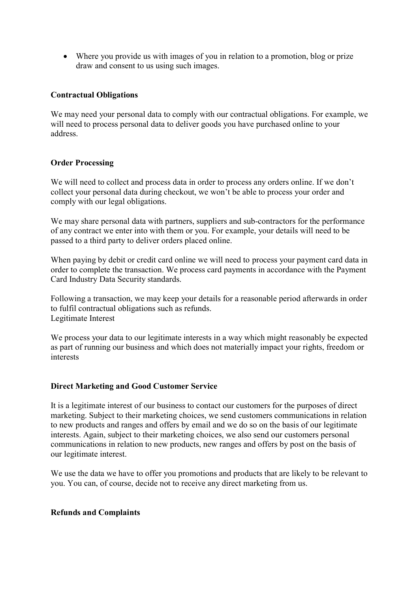Where you provide us with images of you in relation to a promotion, blog or prize draw and consent to us using such images.

## **Contractual Obligations**

We may need your personal data to comply with our contractual obligations. For example, we will need to process personal data to deliver goods you have purchased online to your address.

## **Order Processing**

We will need to collect and process data in order to process any orders online. If we don't collect your personal data during checkout, we won't be able to process your order and comply with our legal obligations.

We may share personal data with partners, suppliers and sub-contractors for the performance of any contract we enter into with them or you. For example, your details will need to be passed to a third party to deliver orders placed online.

When paying by debit or credit card online we will need to process your payment card data in order to complete the transaction. We process card payments in accordance with the Payment Card Industry Data Security standards.

Following a transaction, we may keep your details for a reasonable period afterwards in order to fulfil contractual obligations such as refunds. Legitimate Interest

We process your data to our legitimate interests in a way which might reasonably be expected as part of running our business and which does not materially impact your rights, freedom or interests

# **Direct Marketing and Good Customer Service**

It is a legitimate interest of our business to contact our customers for the purposes of direct marketing. Subject to their marketing choices, we send customers communications in relation to new products and ranges and offers by email and we do so on the basis of our legitimate interests. Again, subject to their marketing choices, we also send our customers personal communications in relation to new products, new ranges and offers by post on the basis of our legitimate interest.

We use the data we have to offer you promotions and products that are likely to be relevant to you. You can, of course, decide not to receive any direct marketing from us.

# **Refunds and Complaints**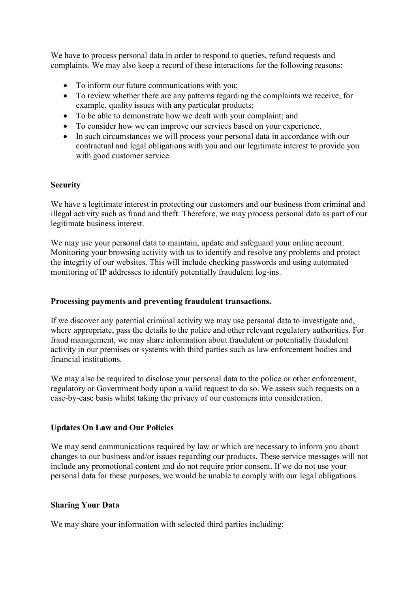We have to process personal data in order to respond to queries, refund requests and complaints. We may also keep a record of these interactions for the following reasons:

- To inform our future communications with you;
- To review whether there are any patterns regarding the complaints we receive, for example, quality issues with any particular products;
- To be able to demonstrate how we dealt with your complaint; and
- To consider how we can improve our services based on your experience.
- In such circumstances we will process your personal data in accordance with our contractual and legal obligations with you and our legitimate interest to provide you with good customer service.

## **Security**

We have a legitimate interest in protecting our customers and our business from criminal and illegal activity such as fraud and theft. Therefore, we may process personal data as part of our legitimate business interest.

We may use your personal data to maintain, update and safeguard your online account. Monitoring your browsing activity with us to identify and resolve any problems and protect the integrity of our websites. This will include checking passwords and using automated monitoring of IP addresses to identify potentially fraudulent log-ins.

# **Processing payments and preventing fraudulent transactions.**

If we discover any potential criminal activity we may use personal data to investigate and, where appropriate, pass the details to the police and other relevant regulatory authorities. For fraud management, we may share information about fraudulent or potentially fraudulent activity in our premises or systems with third parties such as law enforcement bodies and financial institutions.

We may also be required to disclose your personal data to the police or other enforcement, regulatory or Government body upon a valid request to do so. We assess such requests on a case-by-case basis whilst taking the privacy of our customers into consideration.

# **Updates On Law and Our Policies**

We may send communications required by law or which are necessary to inform you about changes to our business and/or issues regarding our products. These service messages will not include any promotional content and do not require prior consent. If we do not use your personal data for these purposes, we would be unable to comply with our legal obligations.

# **Sharing Your Data**

We may share your information with selected third parties including: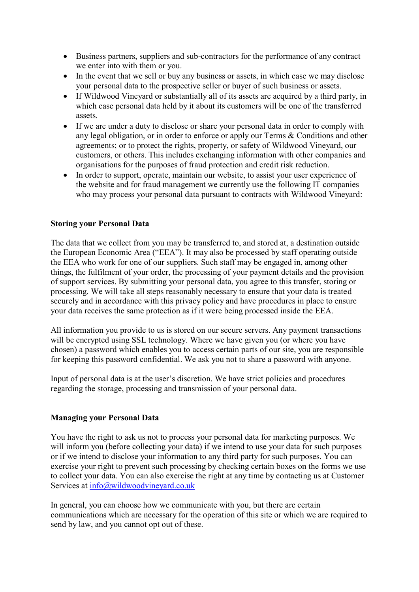- Business partners, suppliers and sub-contractors for the performance of any contract we enter into with them or you.
- In the event that we sell or buy any business or assets, in which case we may disclose your personal data to the prospective seller or buyer of such business or assets.
- If Wildwood Vineyard or substantially all of its assets are acquired by a third party, in which case personal data held by it about its customers will be one of the transferred assets.
- If we are under a duty to disclose or share your personal data in order to comply with any legal obligation, or in order to enforce or apply our Terms & Conditions and other agreements; or to protect the rights, property, or safety of Wildwood Vineyard, our customers, or others. This includes exchanging information with other companies and organisations for the purposes of fraud protection and credit risk reduction.
- In order to support, operate, maintain our website, to assist your user experience of the website and for fraud management we currently use the following IT companies who may process your personal data pursuant to contracts with Wildwood Vineyard:

## **Storing your Personal Data**

The data that we collect from you may be transferred to, and stored at, a destination outside the European Economic Area ("EEA"). It may also be processed by staff operating outside the EEA who work for one of our suppliers. Such staff may be engaged in, among other things, the fulfilment of your order, the processing of your payment details and the provision of support services. By submitting your personal data, you agree to this transfer, storing or processing. We will take all steps reasonably necessary to ensure that your data is treated securely and in accordance with this privacy policy and have procedures in place to ensure your data receives the same protection as if it were being processed inside the EEA.

All information you provide to us is stored on our secure servers. Any payment transactions will be encrypted using SSL technology. Where we have given you (or where you have chosen) a password which enables you to access certain parts of our site, you are responsible for keeping this password confidential. We ask you not to share a password with anyone.

Input of personal data is at the user's discretion. We have strict policies and procedures regarding the storage, processing and transmission of your personal data.

#### **Managing your Personal Data**

You have the right to ask us not to process your personal data for marketing purposes. We will inform you (before collecting your data) if we intend to use your data for such purposes or if we intend to disclose your information to any third party for such purposes. You can exercise your right to prevent such processing by checking certain boxes on the forms we use to collect your data. You can also exercise the right at any time by contacting us at Customer Services at [info@wildwoodvineyard.co.uk](mailto:info@wildwoodvineyard.co.uk)

In general, you can choose how we communicate with you, but there are certain communications which are necessary for the operation of this site or which we are required to send by law, and you cannot opt out of these.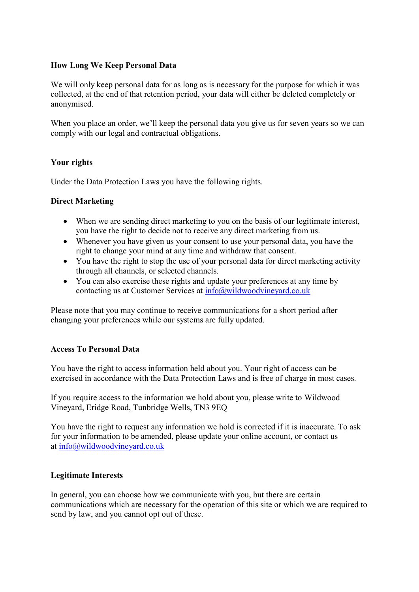## **How Long We Keep Personal Data**

We will only keep personal data for as long as is necessary for the purpose for which it was collected, at the end of that retention period, your data will either be deleted completely or anonymised.

When you place an order, we'll keep the personal data you give us for seven years so we can comply with our legal and contractual obligations.

## **Your rights**

Under the Data Protection Laws you have the following rights.

## **Direct Marketing**

- When we are sending direct marketing to you on the basis of our legitimate interest, you have the right to decide not to receive any direct marketing from us.
- Whenever you have given us your consent to use your personal data, you have the right to change your mind at any time and withdraw that consent.
- You have the right to stop the use of your personal data for direct marketing activity through all channels, or selected channels.
- You can also exercise these rights and update your preferences at any time by contacting us at Customer Services at [info@wildwoodvineyard.co.uk](mailto:info@wildwoodvineyard.co.uk)

Please note that you may continue to receive communications for a short period after changing your preferences while our systems are fully updated.

#### **Access To Personal Data**

You have the right to access information held about you. Your right of access can be exercised in accordance with the Data Protection Laws and is free of charge in most cases.

If you require access to the information we hold about you, please write to Wildwood Vineyard, Eridge Road, Tunbridge Wells, TN3 9EQ

You have the right to request any information we hold is corrected if it is inaccurate. To ask for your information to be amended, please update your online account, or contact us at [info@wildwoodvineyard.co.uk](mailto:info@wildwoodvineyard.co.uk)

#### **Legitimate Interests**

In general, you can choose how we communicate with you, but there are certain communications which are necessary for the operation of this site or which we are required to send by law, and you cannot opt out of these.